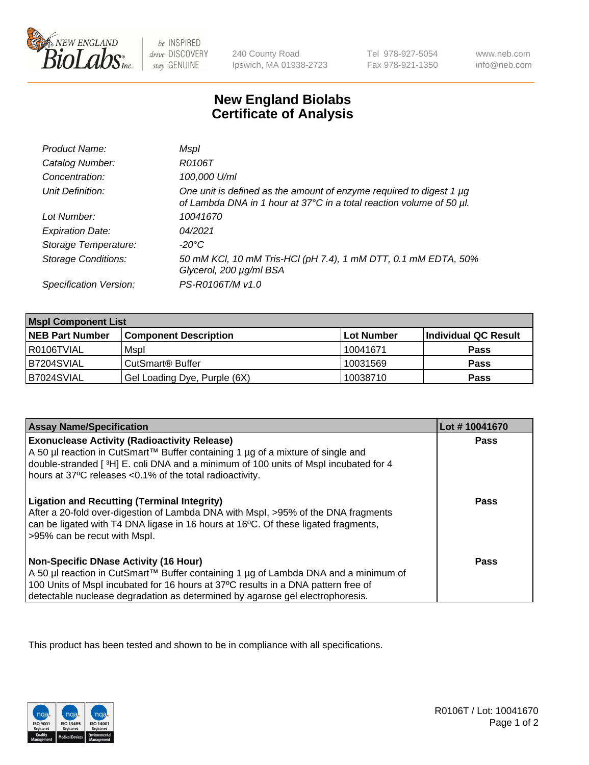

 $be$  INSPIRED drive DISCOVERY stay GENUINE

240 County Road Ipswich, MA 01938-2723 Tel 978-927-5054 Fax 978-921-1350

www.neb.com info@neb.com

## **New England Biolabs Certificate of Analysis**

| Product Name:              | Mspl                                                                                                                                             |
|----------------------------|--------------------------------------------------------------------------------------------------------------------------------------------------|
| Catalog Number:            | R0106T                                                                                                                                           |
| Concentration:             | 100,000 U/ml                                                                                                                                     |
| Unit Definition:           | One unit is defined as the amount of enzyme required to digest 1 $\mu$ g<br>of Lambda DNA in 1 hour at 37°C in a total reaction volume of 50 µl. |
| Lot Number:                | 10041670                                                                                                                                         |
| <b>Expiration Date:</b>    | 04/2021                                                                                                                                          |
| Storage Temperature:       | -20°C                                                                                                                                            |
| <b>Storage Conditions:</b> | 50 mM KCl, 10 mM Tris-HCl (pH 7.4), 1 mM DTT, 0.1 mM EDTA, 50%<br>Glycerol, 200 µg/ml BSA                                                        |
| Specification Version:     | PS-R0106T/M v1.0                                                                                                                                 |

| <b>Mspl Component List</b> |                              |            |                      |  |
|----------------------------|------------------------------|------------|----------------------|--|
| <b>NEB Part Number</b>     | <b>Component Description</b> | Lot Number | Individual QC Result |  |
| I R0106TVIAL               | Mspl                         | 10041671   | <b>Pass</b>          |  |
| B7204SVIAL                 | CutSmart <sup>®</sup> Buffer | 10031569   | <b>Pass</b>          |  |
| B7024SVIAL                 | Gel Loading Dye, Purple (6X) | 10038710   | <b>Pass</b>          |  |

| <b>Assay Name/Specification</b>                                                                                                                                                                                                                                                                             | Lot #10041670 |
|-------------------------------------------------------------------------------------------------------------------------------------------------------------------------------------------------------------------------------------------------------------------------------------------------------------|---------------|
| <b>Exonuclease Activity (Radioactivity Release)</b><br>  A 50 µl reaction in CutSmart™ Buffer containing 1 µg of a mixture of single and<br>double-stranded [3H] E. coli DNA and a minimum of 100 units of Mspl incubated for 4<br>hours at 37°C releases <0.1% of the total radioactivity.                 | Pass          |
| <b>Ligation and Recutting (Terminal Integrity)</b><br>After a 20-fold over-digestion of Lambda DNA with Mspl, >95% of the DNA fragments<br>can be ligated with T4 DNA ligase in 16 hours at 16 <sup>o</sup> C. Of these ligated fragments,<br>>95% can be recut with Mspl.                                  | Pass          |
| <b>Non-Specific DNase Activity (16 Hour)</b><br>  A 50 µl reaction in CutSmart™ Buffer containing 1 µg of Lambda DNA and a minimum of<br>100 Units of Mspl incubated for 16 hours at 37°C results in a DNA pattern free of<br>detectable nuclease degradation as determined by agarose gel electrophoresis. | Pass          |

This product has been tested and shown to be in compliance with all specifications.